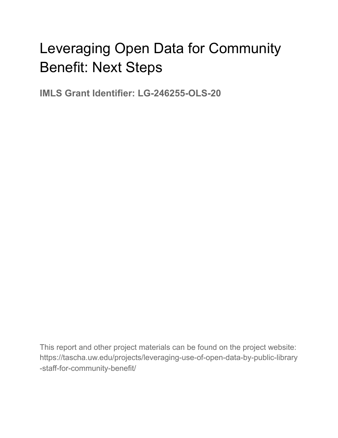# Leveraging Open Data for Community Benefit: Next Steps

**IMLS Grant Identifier: LG-246255-OLS-20**

This report and other project materials can be found on the project website: https://tascha.uw.edu/projects/leveraging-use-of-open-data-by-public-library -staff-for-community-benefit/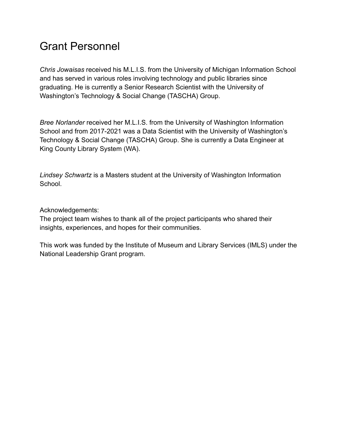## Grant Personnel

*Chris Jowaisas* received his M.L.I.S. from the University of Michigan Information School and has served in various roles involving technology and public libraries since graduating. He is currently a Senior Research Scientist with the University of Washington's Technology & Social Change (TASCHA) Group.

*Bree Norlander* received her M.L.I.S. from the University of Washington Information School and from 2017-2021 was a Data Scientist with the University of Washington's Technology & Social Change (TASCHA) Group. She is currently a Data Engineer at King County Library System (WA).

*Lindsey Schwartz* is a Masters student at the University of Washington Information School.

Acknowledgements:

The project team wishes to thank all of the project participants who shared their insights, experiences, and hopes for their communities.

This work was funded by the Institute of Museum and Library Services (IMLS) under the National Leadership Grant program.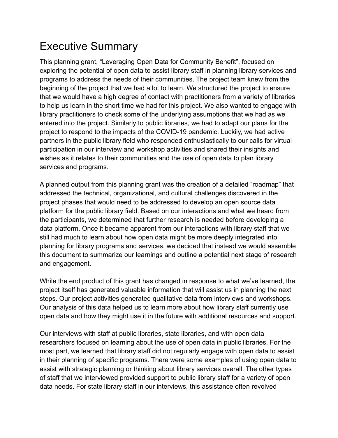# Executive Summary

This planning grant, "Leveraging Open Data for Community Benefit", focused on exploring the potential of open data to assist library staff in planning library services and programs to address the needs of their communities. The project team knew from the beginning of the project that we had a lot to learn. We structured the project to ensure that we would have a high degree of contact with practitioners from a variety of libraries to help us learn in the short time we had for this project. We also wanted to engage with library practitioners to check some of the underlying assumptions that we had as we entered into the project. Similarly to public libraries, we had to adapt our plans for the project to respond to the impacts of the COVID-19 pandemic. Luckily, we had active partners in the public library field who responded enthusiastically to our calls for virtual participation in our interview and workshop activities and shared their insights and wishes as it relates to their communities and the use of open data to plan library services and programs.

A planned output from this planning grant was the creation of a detailed "roadmap" that addressed the technical, organizational, and cultural challenges discovered in the project phases that would need to be addressed to develop an open source data platform for the public library field. Based on our interactions and what we heard from the participants, we determined that further research is needed before developing a data platform. Once it became apparent from our interactions with library staff that we still had much to learn about how open data might be more deeply integrated into planning for library programs and services, we decided that instead we would assemble this document to summarize our learnings and outline a potential next stage of research and engagement.

While the end product of this grant has changed in response to what we've learned, the project itself has generated valuable information that will assist us in planning the next steps. Our project activities generated qualitative data from interviews and workshops. Our analysis of this data helped us to learn more about how library staff currently use open data and how they might use it in the future with additional resources and support.

Our interviews with staff at public libraries, state libraries, and with open data researchers focused on learning about the use of open data in public libraries. For the most part, we learned that library staff did not regularly engage with open data to assist in their planning of specific programs. There were some examples of using open data to assist with strategic planning or thinking about library services overall. The other types of staff that we interviewed provided support to public library staff for a variety of open data needs. For state library staff in our interviews, this assistance often revolved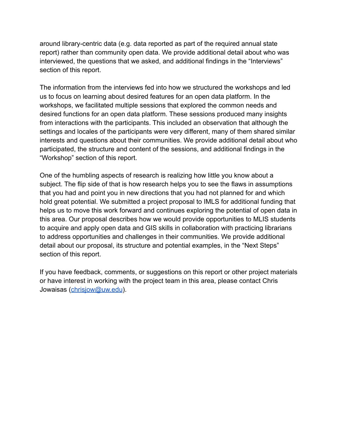around library-centric data (e.g. data reported as part of the required annual state report) rather than community open data. We provide additional detail about who was interviewed, the questions that we asked, and additional findings in the "Interviews" section of this report.

The information from the interviews fed into how we structured the workshops and led us to focus on learning about desired features for an open data platform. In the workshops, we facilitated multiple sessions that explored the common needs and desired functions for an open data platform. These sessions produced many insights from interactions with the participants. This included an observation that although the settings and locales of the participants were very different, many of them shared similar interests and questions about their communities. We provide additional detail about who participated, the structure and content of the sessions, and additional findings in the "Workshop" section of this report.

One of the humbling aspects of research is realizing how little you know about a subject. The flip side of that is how research helps you to see the flaws in assumptions that you had and point you in new directions that you had not planned for and which hold great potential. We submitted a project proposal to IMLS for additional funding that helps us to move this work forward and continues exploring the potential of open data in this area. Our proposal describes how we would provide opportunities to MLIS students to acquire and apply open data and GIS skills in collaboration with practicing librarians to address opportunities and challenges in their communities. We provide additional detail about our proposal, its structure and potential examples, in the "Next Steps" section of this report.

If you have feedback, comments, or suggestions on this report or other project materials or have interest in working with the project team in this area, please contact Chris Jowaisas ([chrisjow@uw.edu](mailto:chrisjow@uw.edu)).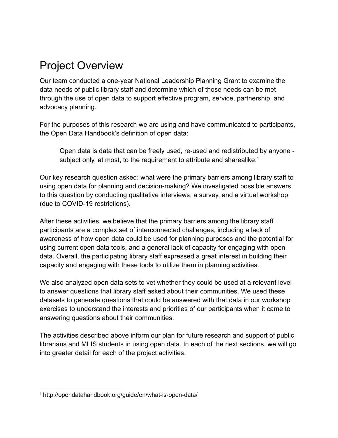# Project Overview

Our team conducted a one-year National Leadership Planning Grant to examine the data needs of public library staff and determine which of those needs can be met through the use of open data to support effective program, service, partnership, and advocacy planning.

For the purposes of this research we are using and have communicated to participants, the Open Data Handbook's definition of open data:

Open data is data that can be freely used, re-used and redistributed by anyone subject only, at most, to the requirement to attribute and sharealike. $<sup>1</sup>$ </sup>

Our key research question asked: what were the primary barriers among library staff to using open data for planning and decision-making? We investigated possible answers to this question by conducting qualitative interviews, a survey, and a virtual workshop (due to COVID-19 restrictions).

After these activities, we believe that the primary barriers among the library staff participants are a complex set of interconnected challenges, including a lack of awareness of how open data could be used for planning purposes and the potential for using current open data tools, and a general lack of capacity for engaging with open data. Overall, the participating library staff expressed a great interest in building their capacity and engaging with these tools to utilize them in planning activities.

We also analyzed open data sets to vet whether they could be used at a relevant level to answer questions that library staff asked about their communities. We used these datasets to generate questions that could be answered with that data in our workshop exercises to understand the interests and priorities of our participants when it came to answering questions about their communities.

The activities described above inform our plan for future research and support of public librarians and MLIS students in using open data. In each of the next sections, we will go into greater detail for each of the project activities.

<sup>1</sup> http://opendatahandbook.org/guide/en/what-is-open-data/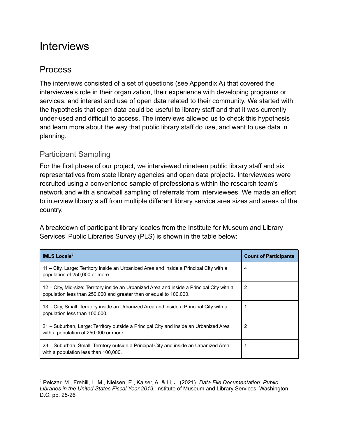## **Interviews**

## Process

The interviews consisted of a set of questions (see Appendix A) that covered the interviewee's role in their organization, their experience with developing programs or services, and interest and use of open data related to their community. We started with the hypothesis that open data could be useful to library staff and that it was currently under-used and difficult to access. The interviews allowed us to check this hypothesis and learn more about the way that public library staff do use, and want to use data in planning.

## Participant Sampling

For the first phase of our project, we interviewed nineteen public library staff and six representatives from state library agencies and open data projects. Interviewees were recruited using a convenience sample of professionals within the research team's network and with a snowball sampling of referrals from interviewees. We made an effort to interview library staff from multiple different library service area sizes and areas of the country.

A breakdown of participant library locales from the Institute for Museum and Library Services' Public Libraries Survey (PLS) is shown in the table below:

| <b>IMLS</b> Locale <sup>2</sup>                                                                                                                                  | <b>Count of Participants</b> |
|------------------------------------------------------------------------------------------------------------------------------------------------------------------|------------------------------|
| 11 – City, Large: Territory inside an Urbanized Area and inside a Principal City with a<br>population of 250,000 or more.                                        | 4                            |
| 12 – City, Mid-size: Territory inside an Urbanized Area and inside a Principal City with a<br>population less than 250,000 and greater than or equal to 100,000. | 2                            |
| 13 – City, Small: Territory inside an Urbanized Area and inside a Principal City with a<br>population less than 100,000.                                         |                              |
| 21 – Suburban, Large: Territory outside a Principal City and inside an Urbanized Area<br>with a population of 250,000 or more.                                   | 2                            |
| 23 – Suburban, Small: Territory outside a Principal City and inside an Urbanized Area<br>with a population less than 100,000.                                    |                              |

<sup>2</sup> Pelczar, M., Frehill, L. M., Nielsen, E., Kaiser, A. & Li, J. (2021). *Data File Documentation: Public Libraries in the United States Fiscal Year 2019.* Institute of Museum and Library Services: Washington, D.C. pp. 25-26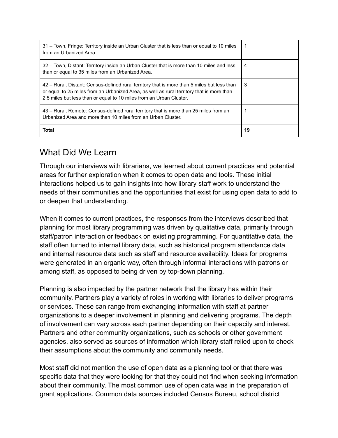| 31 – Town, Fringe: Territory inside an Urban Cluster that is less than or equal to 10 miles<br>from an Urbanized Area.                                                                                                                                          |    |
|-----------------------------------------------------------------------------------------------------------------------------------------------------------------------------------------------------------------------------------------------------------------|----|
| 32 – Town, Distant: Territory inside an Urban Cluster that is more than 10 miles and less<br>than or equal to 35 miles from an Urbanized Area.                                                                                                                  | 4  |
| 42 – Rural, Distant: Census-defined rural territory that is more than 5 miles but less than<br>or equal to 25 miles from an Urbanized Area, as well as rural territory that is more than<br>2.5 miles but less than or equal to 10 miles from an Urban Cluster. | 3  |
| 43 – Rural, Remote: Census-defined rural territory that is more than 25 miles from an<br>Urbanized Area and more than 10 miles from an Urban Cluster.                                                                                                           |    |
| Total                                                                                                                                                                                                                                                           | 19 |

## What Did We Learn

Through our interviews with librarians, we learned about current practices and potential areas for further exploration when it comes to open data and tools. These initial interactions helped us to gain insights into how library staff work to understand the needs of their communities and the opportunities that exist for using open data to add to or deepen that understanding.

When it comes to current practices, the responses from the interviews described that planning for most library programming was driven by qualitative data, primarily through staff/patron interaction or feedback on existing programming. For quantitative data, the staff often turned to internal library data, such as historical program attendance data and internal resource data such as staff and resource availability. Ideas for programs were generated in an organic way, often through informal interactions with patrons or among staff, as opposed to being driven by top-down planning.

Planning is also impacted by the partner network that the library has within their community. Partners play a variety of roles in working with libraries to deliver programs or services. These can range from exchanging information with staff at partner organizations to a deeper involvement in planning and delivering programs. The depth of involvement can vary across each partner depending on their capacity and interest. Partners and other community organizations, such as schools or other government agencies, also served as sources of information which library staff relied upon to check their assumptions about the community and community needs.

Most staff did not mention the use of open data as a planning tool or that there was specific data that they were looking for that they could not find when seeking information about their community. The most common use of open data was in the preparation of grant applications. Common data sources included Census Bureau, school district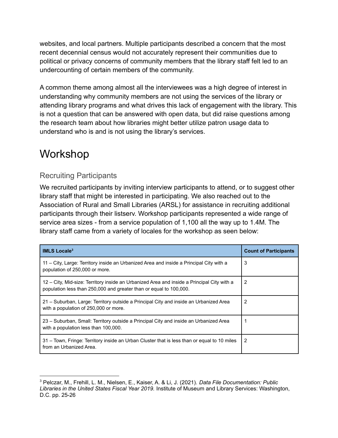websites, and local partners. Multiple participants described a concern that the most recent decennial census would not accurately represent their communities due to political or privacy concerns of community members that the library staff felt led to an undercounting of certain members of the community.

A common theme among almost all the interviewees was a high degree of interest in understanding why community members are not using the services of the library or attending library programs and what drives this lack of engagement with the library. This is not a question that can be answered with open data, but did raise questions among the research team about how libraries might better utilize patron usage data to understand who is and is not using the library's services.

# Workshop

## Recruiting Participants

We recruited participants by inviting interview participants to attend, or to suggest other library staff that might be interested in participating. We also reached out to the Association of Rural and Small Libraries (ARSL) for assistance in recruiting additional participants through their listserv. Workshop participants represented a wide range of service area sizes - from a service population of 1,100 all the way up to 1.4M. The library staff came from a variety of locales for the workshop as seen below:

| <b>IMLS</b> Locale <sup>3</sup>                                                                                                                                  | <b>Count of Participants</b> |
|------------------------------------------------------------------------------------------------------------------------------------------------------------------|------------------------------|
| 11 – City, Large: Territory inside an Urbanized Area and inside a Principal City with a<br>population of 250,000 or more.                                        | 3                            |
| 12 – City, Mid-size: Territory inside an Urbanized Area and inside a Principal City with a<br>population less than 250,000 and greater than or equal to 100,000. | 2                            |
| 21 – Suburban, Large: Territory outside a Principal City and inside an Urbanized Area<br>with a population of 250,000 or more.                                   | 2                            |
| 23 – Suburban, Small: Territory outside a Principal City and inside an Urbanized Area<br>with a population less than 100,000.                                    |                              |
| 31 – Town, Fringe: Territory inside an Urban Cluster that is less than or equal to 10 miles<br>from an Urbanized Area.                                           | 2                            |

<sup>3</sup> Pelczar, M., Frehill, L. M., Nielsen, E., Kaiser, A. & Li, J. (2021). *Data File Documentation: Public Libraries in the United States Fiscal Year 2019.* Institute of Museum and Library Services: Washington, D.C. pp. 25-26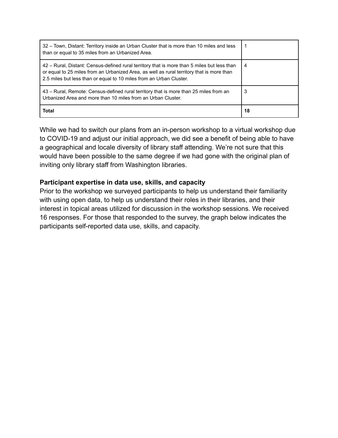| 32 - Town, Distant: Territory inside an Urban Cluster that is more than 10 miles and less<br>than or equal to 35 miles from an Urbanized Area.                                                                                                                  |    |
|-----------------------------------------------------------------------------------------------------------------------------------------------------------------------------------------------------------------------------------------------------------------|----|
| 42 - Rural, Distant: Census-defined rural territory that is more than 5 miles but less than<br>or equal to 25 miles from an Urbanized Area, as well as rural territory that is more than<br>2.5 miles but less than or equal to 10 miles from an Urban Cluster. | 4  |
| 43 – Rural, Remote: Census-defined rural territory that is more than 25 miles from an<br>Urbanized Area and more than 10 miles from an Urban Cluster.                                                                                                           |    |
| Total                                                                                                                                                                                                                                                           | 18 |

While we had to switch our plans from an in-person workshop to a virtual workshop due to COVID-19 and adjust our initial approach, we did see a benefit of being able to have a geographical and locale diversity of library staff attending. We're not sure that this would have been possible to the same degree if we had gone with the original plan of inviting only library staff from Washington libraries.

## **Participant expertise in data use, skills, and capacity**

Prior to the workshop we surveyed participants to help us understand their familiarity with using open data, to help us understand their roles in their libraries, and their interest in topical areas utilized for discussion in the workshop sessions. We received 16 responses. For those that responded to the survey, the graph below indicates the participants self-reported data use, skills, and capacity.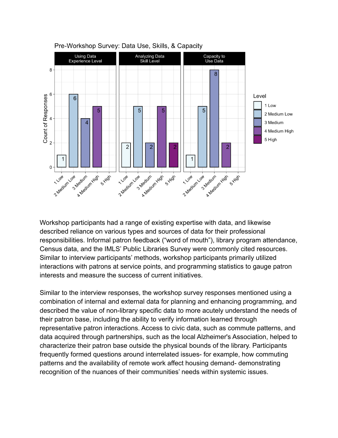

Pre-Workshop Survey: Data Use, Skills, & Capacity

Workshop participants had a range of existing expertise with data, and likewise described reliance on various types and sources of data for their professional responsibilities. Informal patron feedback ("word of mouth"), library program attendance, Census data, and the IMLS' Public Libraries Survey were commonly cited resources. Similar to interview participants' methods, workshop participants primarily utilized interactions with patrons at service points, and programming statistics to gauge patron interests and measure the success of current initiatives.

Similar to the interview responses, the workshop survey responses mentioned using a combination of internal and external data for planning and enhancing programming, and described the value of non-library specific data to more acutely understand the needs of their patron base, including the ability to verify information learned through representative patron interactions. Access to civic data, such as commute patterns, and data acquired through partnerships, such as the local Alzheimer's Association, helped to characterize their patron base outside the physical bounds of the library. Participants frequently formed questions around interrelated issues- for example, how commuting patterns and the availability of remote work affect housing demand- demonstrating recognition of the nuances of their communities' needs within systemic issues.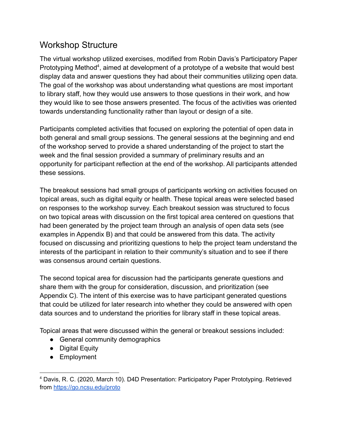## Workshop Structure

The virtual workshop utilized exercises, modified from Robin Davis's Participatory Paper Prototyping Method<sup>4</sup>, aimed at development of a prototype of a website that would best display data and answer questions they had about their communities utilizing open data. The goal of the workshop was about understanding what questions are most important to library staff, how they would use answers to those questions in their work, and how they would like to see those answers presented. The focus of the activities was oriented towards understanding functionality rather than layout or design of a site.

Participants completed activities that focused on exploring the potential of open data in both general and small group sessions. The general sessions at the beginning and end of the workshop served to provide a shared understanding of the project to start the week and the final session provided a summary of preliminary results and an opportunity for participant reflection at the end of the workshop. All participants attended these sessions.

The breakout sessions had small groups of participants working on activities focused on topical areas, such as digital equity or health. These topical areas were selected based on responses to the workshop survey. Each breakout session was structured to focus on two topical areas with discussion on the first topical area centered on questions that had been generated by the project team through an analysis of open data sets (see examples in Appendix B) and that could be answered from this data. The activity focused on discussing and prioritizing questions to help the project team understand the interests of the participant in relation to their community's situation and to see if there was consensus around certain questions.

The second topical area for discussion had the participants generate questions and share them with the group for consideration, discussion, and prioritization (see Appendix C). The intent of this exercise was to have participant generated questions that could be utilized for later research into whether they could be answered with open data sources and to understand the priorities for library staff in these topical areas.

Topical areas that were discussed within the general or breakout sessions included:

- General community demographics
- Digital Equity
- Employment

<sup>4</sup> Davis, R. C. (2020, March 10). D4D Presentation: Participatory Paper Prototyping. Retrieved from <https://go.ncsu.edu/proto>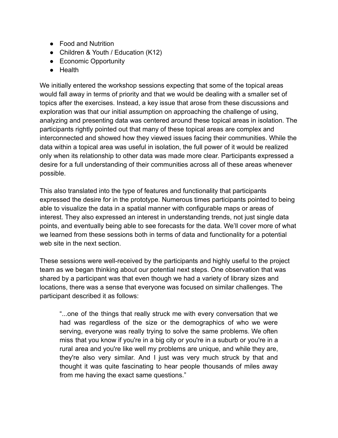- Food and Nutrition
- Children & Youth / Education (K12)
- Economic Opportunity
- Health

We initially entered the workshop sessions expecting that some of the topical areas would fall away in terms of priority and that we would be dealing with a smaller set of topics after the exercises. Instead, a key issue that arose from these discussions and exploration was that our initial assumption on approaching the challenge of using, analyzing and presenting data was centered around these topical areas in isolation. The participants rightly pointed out that many of these topical areas are complex and interconnected and showed how they viewed issues facing their communities. While the data within a topical area was useful in isolation, the full power of it would be realized only when its relationship to other data was made more clear. Participants expressed a desire for a full understanding of their communities across all of these areas whenever possible.

This also translated into the type of features and functionality that participants expressed the desire for in the prototype. Numerous times participants pointed to being able to visualize the data in a spatial manner with configurable maps or areas of interest. They also expressed an interest in understanding trends, not just single data points, and eventually being able to see forecasts for the data. We'll cover more of what we learned from these sessions both in terms of data and functionality for a potential web site in the next section.

These sessions were well-received by the participants and highly useful to the project team as we began thinking about our potential next steps. One observation that was shared by a participant was that even though we had a variety of library sizes and locations, there was a sense that everyone was focused on similar challenges. The participant described it as follows:

"...one of the things that really struck me with every conversation that we had was regardless of the size or the demographics of who we were serving, everyone was really trying to solve the same problems. We often miss that you know if you're in a big city or you're in a suburb or you're in a rural area and you're like well my problems are unique, and while they are, they're also very similar. And I just was very much struck by that and thought it was quite fascinating to hear people thousands of miles away from me having the exact same questions."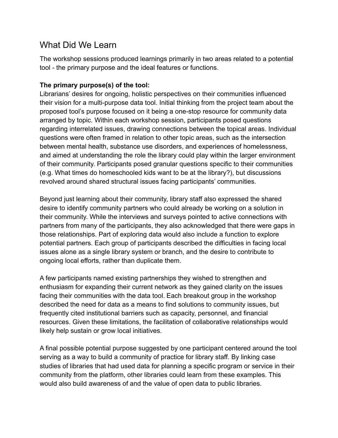## What Did We Learn

The workshop sessions produced learnings primarily in two areas related to a potential tool - the primary purpose and the ideal features or functions.

## **The primary purpose(s) of the tool:**

Librarians' desires for ongoing, holistic perspectives on their communities influenced their vision for a multi-purpose data tool. Initial thinking from the project team about the proposed tool's purpose focused on it being a one-stop resource for community data arranged by topic. Within each workshop session, participants posed questions regarding interrelated issues, drawing connections between the topical areas. Individual questions were often framed in relation to other topic areas, such as the intersection between mental health, substance use disorders, and experiences of homelessness, and aimed at understanding the role the library could play within the larger environment of their community. Participants posed granular questions specific to their communities (e.g. What times do homeschooled kids want to be at the library?), but discussions revolved around shared structural issues facing participants' communities.

Beyond just learning about their community, library staff also expressed the shared desire to identify community partners who could already be working on a solution in their community. While the interviews and surveys pointed to active connections with partners from many of the participants, they also acknowledged that there were gaps in those relationships. Part of exploring data would also include a function to explore potential partners. Each group of participants described the difficulties in facing local issues alone as a single library system or branch, and the desire to contribute to ongoing local efforts, rather than duplicate them.

A few participants named existing partnerships they wished to strengthen and enthusiasm for expanding their current network as they gained clarity on the issues facing their communities with the data tool. Each breakout group in the workshop described the need for data as a means to find solutions to community issues, but frequently cited institutional barriers such as capacity, personnel, and financial resources. Given these limitations, the facilitation of collaborative relationships would likely help sustain or grow local initiatives.

A final possible potential purpose suggested by one participant centered around the tool serving as a way to build a community of practice for library staff. By linking case studies of libraries that had used data for planning a specific program or service in their community from the platform, other libraries could learn from these examples. This would also build awareness of and the value of open data to public libraries.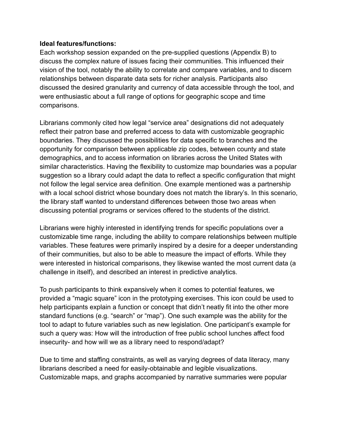### **Ideal features/functions:**

Each workshop session expanded on the pre-supplied questions (Appendix B) to discuss the complex nature of issues facing their communities. This influenced their vision of the tool, notably the ability to correlate and compare variables, and to discern relationships between disparate data sets for richer analysis. Participants also discussed the desired granularity and currency of data accessible through the tool, and were enthusiastic about a full range of options for geographic scope and time comparisons.

Librarians commonly cited how legal "service area" designations did not adequately reflect their patron base and preferred access to data with customizable geographic boundaries. They discussed the possibilities for data specific to branches and the opportunity for comparison between applicable zip codes, between county and state demographics, and to access information on libraries across the United States with similar characteristics. Having the flexibility to customize map boundaries was a popular suggestion so a library could adapt the data to reflect a specific configuration that might not follow the legal service area definition. One example mentioned was a partnership with a local school district whose boundary does not match the library's. In this scenario, the library staff wanted to understand differences between those two areas when discussing potential programs or services offered to the students of the district.

Librarians were highly interested in identifying trends for specific populations over a customizable time range, including the ability to compare relationships between multiple variables. These features were primarily inspired by a desire for a deeper understanding of their communities, but also to be able to measure the impact of efforts. While they were interested in historical comparisons, they likewise wanted the most current data (a challenge in itself), and described an interest in predictive analytics.

To push participants to think expansively when it comes to potential features, we provided a "magic square" icon in the prototyping exercises. This icon could be used to help participants explain a function or concept that didn't neatly fit into the other more standard functions (e.g. "search" or "map"). One such example was the ability for the tool to adapt to future variables such as new legislation. One participant's example for such a query was: How will the introduction of free public school lunches affect food insecurity- and how will we as a library need to respond/adapt?

Due to time and staffing constraints, as well as varying degrees of data literacy, many librarians described a need for easily-obtainable and legible visualizations. Customizable maps, and graphs accompanied by narrative summaries were popular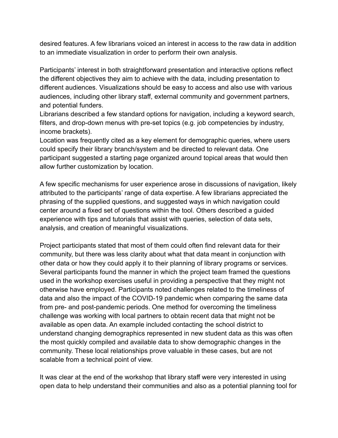desired features. A few librarians voiced an interest in access to the raw data in addition to an immediate visualization in order to perform their own analysis.

Participants' interest in both straightforward presentation and interactive options reflect the different objectives they aim to achieve with the data, including presentation to different audiences. Visualizations should be easy to access and also use with various audiences, including other library staff, external community and government partners, and potential funders.

Librarians described a few standard options for navigation, including a keyword search, filters, and drop-down menus with pre-set topics (e.g. job competencies by industry, income brackets).

Location was frequently cited as a key element for demographic queries, where users could specify their library branch/system and be directed to relevant data. One participant suggested a starting page organized around topical areas that would then allow further customization by location.

A few specific mechanisms for user experience arose in discussions of navigation, likely attributed to the participants' range of data expertise. A few librarians appreciated the phrasing of the supplied questions, and suggested ways in which navigation could center around a fixed set of questions within the tool. Others described a guided experience with tips and tutorials that assist with queries, selection of data sets, analysis, and creation of meaningful visualizations.

Project participants stated that most of them could often find relevant data for their community, but there was less clarity about what that data meant in conjunction with other data or how they could apply it to their planning of library programs or services. Several participants found the manner in which the project team framed the questions used in the workshop exercises useful in providing a perspective that they might not otherwise have employed. Participants noted challenges related to the timeliness of data and also the impact of the COVID-19 pandemic when comparing the same data from pre- and post-pandemic periods. One method for overcoming the timeliness challenge was working with local partners to obtain recent data that might not be available as open data. An example included contacting the school district to understand changing demographics represented in new student data as this was often the most quickly compiled and available data to show demographic changes in the community. These local relationships prove valuable in these cases, but are not scalable from a technical point of view.

It was clear at the end of the workshop that library staff were very interested in using open data to help understand their communities and also as a potential planning tool for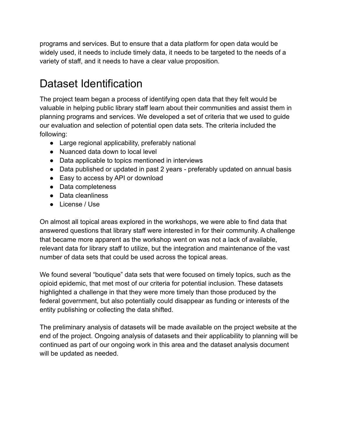programs and services. But to ensure that a data platform for open data would be widely used, it needs to include timely data, it needs to be targeted to the needs of a variety of staff, and it needs to have a clear value proposition.

# Dataset Identification

The project team began a process of identifying open data that they felt would be valuable in helping public library staff learn about their communities and assist them in planning programs and services. We developed a set of criteria that we used to guide our evaluation and selection of potential open data sets. The criteria included the following:

- Large regional applicability, preferably national
- Nuanced data down to local level
- Data applicable to topics mentioned in interviews
- Data published or updated in past 2 years preferably updated on annual basis
- Easy to access by API or download
- Data completeness
- Data cleanliness
- License / Use

On almost all topical areas explored in the workshops, we were able to find data that answered questions that library staff were interested in for their community. A challenge that became more apparent as the workshop went on was not a lack of available, relevant data for library staff to utilize, but the integration and maintenance of the vast number of data sets that could be used across the topical areas.

We found several "boutique" data sets that were focused on timely topics, such as the opioid epidemic, that met most of our criteria for potential inclusion. These datasets highlighted a challenge in that they were more timely than those produced by the federal government, but also potentially could disappear as funding or interests of the entity publishing or collecting the data shifted.

The preliminary analysis of datasets will be made available on the project website at the end of the project. Ongoing analysis of datasets and their applicability to planning will be continued as part of our ongoing work in this area and the dataset analysis document will be updated as needed.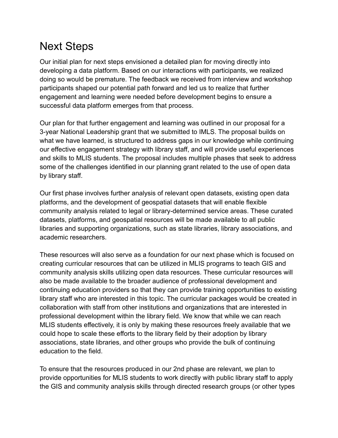# Next Steps

Our initial plan for next steps envisioned a detailed plan for moving directly into developing a data platform. Based on our interactions with participants, we realized doing so would be premature. The feedback we received from interview and workshop participants shaped our potential path forward and led us to realize that further engagement and learning were needed before development begins to ensure a successful data platform emerges from that process.

Our plan for that further engagement and learning was outlined in our proposal for a 3-year National Leadership grant that we submitted to IMLS. The proposal builds on what we have learned, is structured to address gaps in our knowledge while continuing our effective engagement strategy with library staff, and will provide useful experiences and skills to MLIS students. The proposal includes multiple phases that seek to address some of the challenges identified in our planning grant related to the use of open data by library staff.

Our first phase involves further analysis of relevant open datasets, existing open data platforms, and the development of geospatial datasets that will enable flexible community analysis related to legal or library-determined service areas. These curated datasets, platforms, and geospatial resources will be made available to all public libraries and supporting organizations, such as state libraries, library associations, and academic researchers.

These resources will also serve as a foundation for our next phase which is focused on creating curricular resources that can be utilized in MLIS programs to teach GIS and community analysis skills utilizing open data resources. These curricular resources will also be made available to the broader audience of professional development and continuing education providers so that they can provide training opportunities to existing library staff who are interested in this topic. The curricular packages would be created in collaboration with staff from other institutions and organizations that are interested in professional development within the library field. We know that while we can reach MLIS students effectively, it is only by making these resources freely available that we could hope to scale these efforts to the library field by their adoption by library associations, state libraries, and other groups who provide the bulk of continuing education to the field.

To ensure that the resources produced in our 2nd phase are relevant, we plan to provide opportunities for MLIS students to work directly with public library staff to apply the GIS and community analysis skills through directed research groups (or other types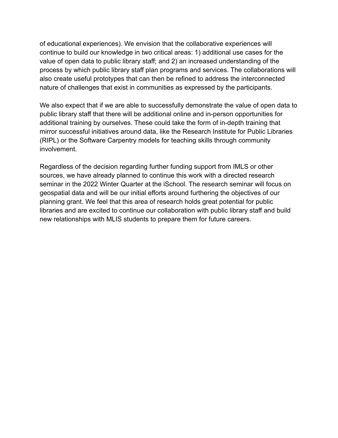of educational experiences). We envision that the collaborative experiences will continue to build our knowledge in two critical areas: 1) additional use cases for the value of open data to public library staff; and 2) an increased understanding of the process by which public library staff plan programs and services. The collaborations will also create useful prototypes that can then be refined to address the interconnected nature of challenges that exist in communities as expressed by the participants.

We also expect that if we are able to successfully demonstrate the value of open data to public library staff that there will be additional online and in-person opportunities for additional training by ourselves. These could take the form of in-depth training that mirror successful initiatives around data, like the Research Institute for Public Libraries (RIPL) or the Software Carpentry models for teaching skills through community involvement.

Regardless of the decision regarding further funding support from IMLS or other sources, we have already planned to continue this work with a directed research seminar in the 2022 Winter Quarter at the iSchool. The research seminar will focus on geospatial data and will be our initial efforts around furthering the objectives of our planning grant. We feel that this area of research holds great potential for public libraries and are excited to continue our collaboration with public library staff and build new relationships with MLIS students to prepare them for future careers.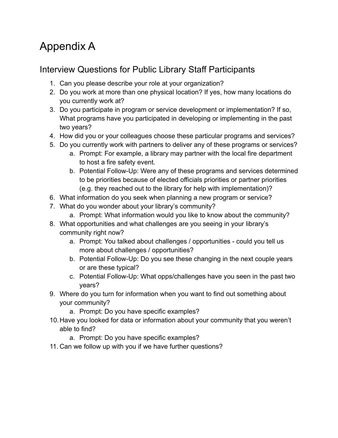# Appendix A

## Interview Questions for Public Library Staff Participants

- 1. Can you please describe your role at your organization?
- 2. Do you work at more than one physical location? If yes, how many locations do you currently work at?
- 3. Do you participate in program or service development or implementation? If so, What programs have you participated in developing or implementing in the past two years?
- 4. How did you or your colleagues choose these particular programs and services?
- 5. Do you currently work with partners to deliver any of these programs or services?
	- a. Prompt: For example, a library may partner with the local fire department to host a fire safety event.
	- b. Potential Follow-Up: Were any of these programs and services determined to be priorities because of elected officials priorities or partner priorities (e.g. they reached out to the library for help with implementation)?
- 6. What information do you seek when planning a new program or service?
- 7. What do you wonder about your library's community?
	- a. Prompt: What information would you like to know about the community?
- 8. What opportunities and what challenges are you seeing in your library's community right now?
	- a. Prompt: You talked about challenges / opportunities could you tell us more about challenges / opportunities?
	- b. Potential Follow-Up: Do you see these changing in the next couple years or are these typical?
	- c. Potential Follow-Up: What opps/challenges have you seen in the past two years?
- 9. Where do you turn for information when you want to find out something about your community?
	- a. Prompt: Do you have specific examples?
- 10.Have you looked for data or information about your community that you weren't able to find?
	- a. Prompt: Do you have specific examples?
- 11. Can we follow up with you if we have further questions?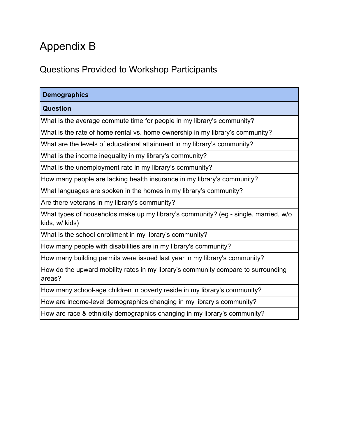# Appendix B

## Questions Provided to Workshop Participants

| <b>Demographics</b>                                                                                   |
|-------------------------------------------------------------------------------------------------------|
| <b>Question</b>                                                                                       |
| What is the average commute time for people in my library's community?                                |
| What is the rate of home rental vs. home ownership in my library's community?                         |
| What are the levels of educational attainment in my library's community?                              |
| What is the income inequality in my library's community?                                              |
| What is the unemployment rate in my library's community?                                              |
| How many people are lacking health insurance in my library's community?                               |
| What languages are spoken in the homes in my library's community?                                     |
| Are there veterans in my library's community?                                                         |
| What types of households make up my library's community? (eg - single, married, w/o<br>kids, w/ kids) |
| What is the school enrollment in my library's community?                                              |
| How many people with disabilities are in my library's community?                                      |
| How many building permits were issued last year in my library's community?                            |
| How do the upward mobility rates in my library's community compare to surrounding<br>areas?           |
| How many school-age children in poverty reside in my library's community?                             |
| How are income-level demographics changing in my library's community?                                 |
| How are race & ethnicity demographics changing in my library's community?                             |
|                                                                                                       |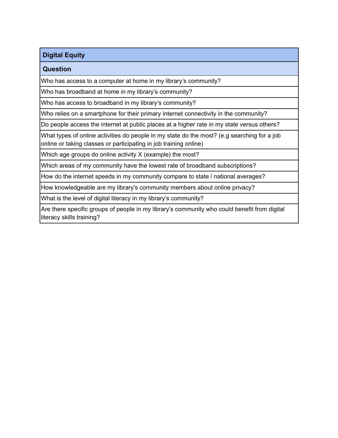## **Digital Equity**

#### **Question**

Who has access to a computer at home in my library's community?

Who has broadband at home in my library's community?

Who has access to broadband in my library's community?

Who relies on a smartphone for their primary internet connectivity in the community?

Do people access the internet at public places at a higher rate in my state versus others?

What types of online activities do people in my state do the most? (e.g searching for a job online or taking classes or participating in job training online)

Which age groups do online activity X (example) the most?

Which areas of my community have the lowest rate of broadband subscriptions?

How do the internet speeds in my community compare to state / national averages?

How knowledgeable are my library's community members about online privacy?

What is the level of digital literacy in my library's community?

Are there specific groups of people in my library's community who could benefit from digital literacy skills training?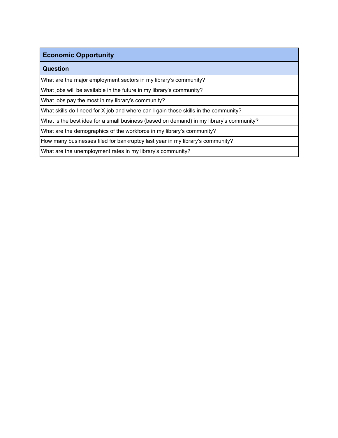### **Economic Opportunity**

#### **Question**

What are the major employment sectors in my library's community?

What jobs will be available in the future in my library's community?

What jobs pay the most in my library's community?

What skills do I need for X job and where can I gain those skills in the community?

What is the best idea for a small business (based on demand) in my library's community?

What are the demographics of the workforce in my library's community?

How many businesses filed for bankruptcy last year in my library's community?

What are the unemployment rates in my library's community?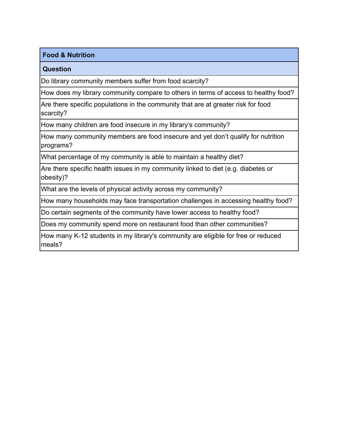#### **Food & Nutrition**

#### **Question**

Do library community members suffer from food scarcity?

How does my library community compare to others in terms of access to healthy food?

Are there specific populations in the community that are at greater risk for food scarcity?

How many children are food insecure in my library's community?

How many community members are food insecure and yet don't qualify for nutrition programs?

What percentage of my community is able to maintain a healthy diet?

Are there specific health issues in my community linked to diet (e.g. diabetes or obesity)?

What are the levels of physical activity across my community?

How many households may face transportation challenges in accessing healthy food?

Do certain segments of the community have lower access to healthy food?

Does my community spend more on restaurant food than other communities?

How many K-12 students in my library's community are eligible for free or reduced meals?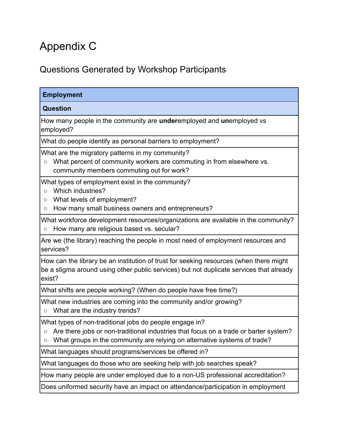# Appendix C

# Questions Generated by Workshop Participants

| <b>Employment</b>                                                                                                                                                                                                                            |
|----------------------------------------------------------------------------------------------------------------------------------------------------------------------------------------------------------------------------------------------|
| <b>Question</b>                                                                                                                                                                                                                              |
| How many people in the community are underemployed and unemployed vs<br>employed?                                                                                                                                                            |
| What do people identify as personal barriers to employment?                                                                                                                                                                                  |
| What are the migratory patterns in my community?<br>What percent of community workers are commuting in from elsewhere vs.<br>$\bigcirc$<br>community members commuting out for work?                                                         |
| What types of employment exist in the community?<br>Which industries?<br>$\circ$<br>What levels of employment?<br>О<br>How many small business owners and entrepreneurs?<br>O                                                                |
| What workforce development resources/organizations are available in the community?<br>How many are religious based vs. secular?<br>$\bigcirc$                                                                                                |
| Are we (the library) reaching the people in most need of employment resources and<br>services?                                                                                                                                               |
| How can the library be an institution of trust for seeking resources (when there might<br>be a stigma around using other public services) but not duplicate services that already<br>exist?                                                  |
| What shifts are people working? (When do people have free time?)                                                                                                                                                                             |
| What new industries are coming into the community and/or growing?<br>What are the industry trends?<br>$\circlearrowright$                                                                                                                    |
| What types of non-traditional jobs do people engage in?<br>Are there jobs or non-traditional industries that focus on a trade or barter system?<br>O<br>What groups in the community are relying on alternative systems of trade?<br>$\circ$ |
| What languages should programs/services be offered in?                                                                                                                                                                                       |
| What languages do those who are seeking help with job searches speak?                                                                                                                                                                        |
| How many people are under employed due to a non-US professional accreditation?                                                                                                                                                               |
| Does uniformed security have an impact on attendance/participation in employment                                                                                                                                                             |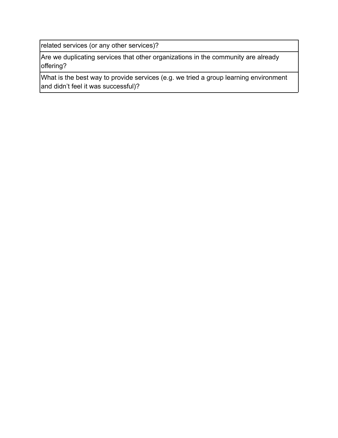related services (or any other services)?

Are we duplicating services that other organizations in the community are already offering?

What is the best way to provide services (e.g. we tried a group learning environment and didn't feel it was successful)?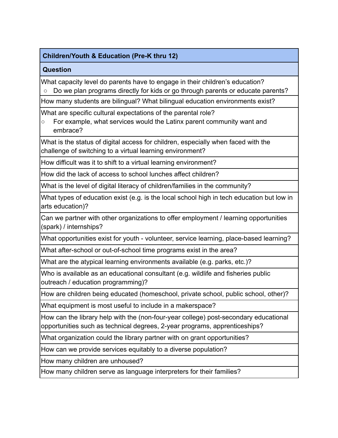## **Children/Youth & Education (Pre-K thru 12)**

### **Question**

What capacity level do parents have to engage in their children's education?

○ Do we plan programs directly for kids or go through parents or educate parents?

How many students are bilingual? What bilingual education environments exist?

What are specific cultural expectations of the parental role?

○ For example, what services would the Latinx parent community want and embrace?

What is the status of digital access for children, especially when faced with the challenge of switching to a virtual learning environment?

How difficult was it to shift to a virtual learning environment?

How did the lack of access to school lunches affect children?

What is the level of digital literacy of children/families in the community?

What types of education exist (e.g. is the local school high in tech education but low in arts education)?

Can we partner with other organizations to offer employment / learning opportunities (spark) / internships?

What opportunities exist for youth - volunteer, service learning, place-based learning?

What after-school or out-of-school time programs exist in the area?

What are the atypical learning environments available (e.g. parks, etc.)?

Who is available as an educational consultant (e.g. wildlife and fisheries public outreach / education programming)?

How are children being educated (homeschool, private school, public school, other)?

What equipment is most useful to include in a makerspace?

How can the library help with the (non-four-year college) post-secondary educational opportunities such as technical degrees, 2-year programs, apprenticeships?

What organization could the library partner with on grant opportunities?

How can we provide services equitably to a diverse population?

How many children are unhoused?

How many children serve as language interpreters for their families?